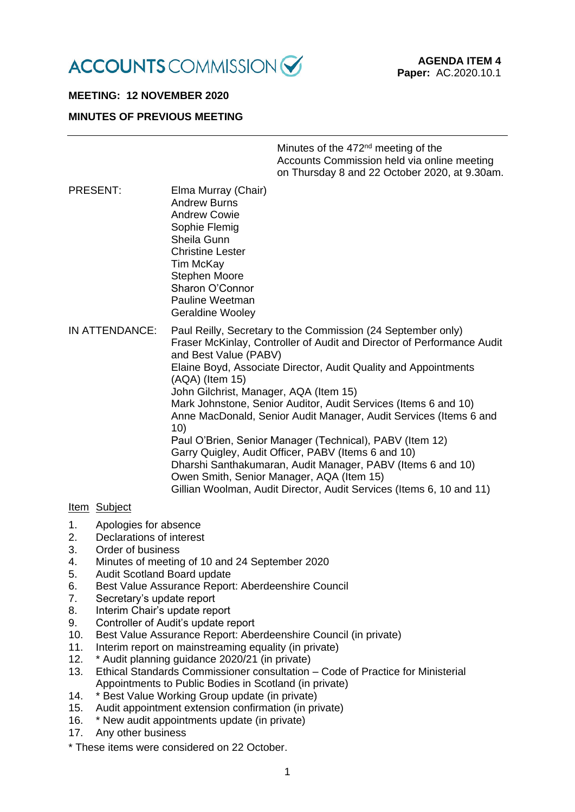

## **MEETING: 12 NOVEMBER 2020**

## **MINUTES OF PREVIOUS MEETING**

| Minutes of the 472 <sup>nd</sup> meeting of the |
|-------------------------------------------------|
| Accounts Commission held via online meeting     |
| on Thursday 8 and 22 October 2020, at 9.30am.   |

PRESENT: Elma Murray (Chair) Andrew Burns Andrew Cowie Sophie Flemig Sheila Gunn Christine Lester Tim McKay Stephen Moore Sharon O'Connor Pauline Weetman Geraldine Wooley

IN ATTENDANCE: Paul Reilly, Secretary to the Commission (24 September only) Fraser McKinlay, Controller of Audit and Director of Performance Audit and Best Value (PABV) Elaine Boyd, Associate Director, Audit Quality and Appointments (AQA) (Item 15) John Gilchrist, Manager, AQA (Item 15) Mark Johnstone, Senior Auditor, Audit Services (Items 6 and 10) Anne MacDonald, Senior Audit Manager, Audit Services (Items 6 and 10) Paul O'Brien, Senior Manager (Technical), PABV (Item 12) Garry Quigley, Audit Officer, PABV (Items 6 and 10) Dharshi Santhakumaran, Audit Manager, PABV (Items 6 and 10) Owen Smith, Senior Manager, AQA (Item 15) Gillian Woolman, Audit Director, Audit Services (Items 6, 10 and 11)

## Item Subject

- 1. Apologies for absence
- 2. Declarations of interest
- 3. Order of business
- 4. Minutes of meeting of 10 and 24 September 2020
- 5. Audit Scotland Board update
- 6. Best Value Assurance Report: Aberdeenshire Council
- 7. Secretary's update report
- 8. Interim Chair's update report
- 9. Controller of Audit's update report
- 10. Best Value Assurance Report: Aberdeenshire Council (in private)
- 11. Interim report on mainstreaming equality (in private)
- 12. \* Audit planning guidance 2020/21 (in private)
- 13. Ethical Standards Commissioner consultation Code of Practice for Ministerial Appointments to Public Bodies in Scotland (in private)
- 14. \* Best Value Working Group update (in private)
- 15. Audit appointment extension confirmation (in private)
- 16. \* New audit appointments update (in private)
- 17. Any other business
- \* These items were considered on 22 October.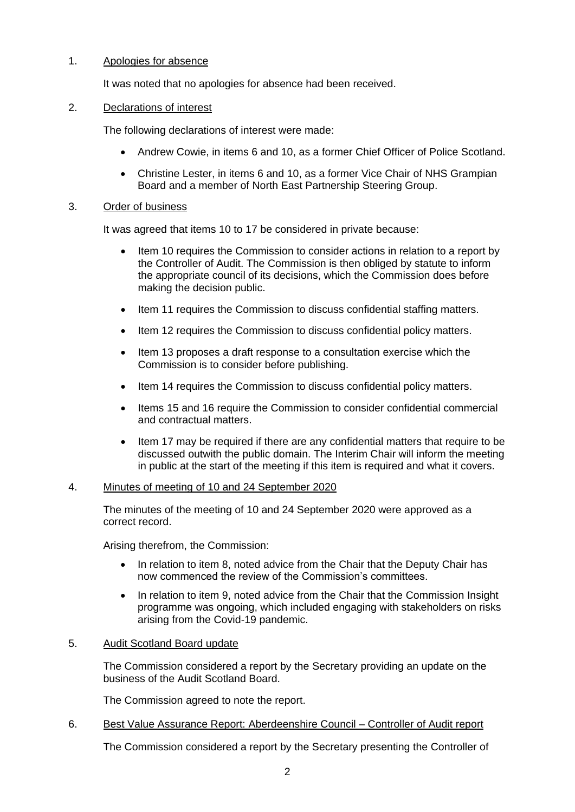# 1. Apologies for absence

It was noted that no apologies for absence had been received.

### 2. Declarations of interest

The following declarations of interest were made:

- Andrew Cowie, in items 6 and 10, as a former Chief Officer of Police Scotland.
- Christine Lester, in items 6 and 10, as a former Vice Chair of NHS Grampian Board and a member of North East Partnership Steering Group.

## 3. Order of business

It was agreed that items 10 to 17 be considered in private because:

- Item 10 requires the Commission to consider actions in relation to a report by the Controller of Audit. The Commission is then obliged by statute to inform the appropriate council of its decisions, which the Commission does before making the decision public.
- Item 11 requires the Commission to discuss confidential staffing matters.
- Item 12 requires the Commission to discuss confidential policy matters.
- Item 13 proposes a draft response to a consultation exercise which the Commission is to consider before publishing.
- Item 14 requires the Commission to discuss confidential policy matters.
- Items 15 and 16 require the Commission to consider confidential commercial and contractual matters.
- Item 17 may be required if there are any confidential matters that require to be discussed outwith the public domain. The Interim Chair will inform the meeting in public at the start of the meeting if this item is required and what it covers.

### 4. Minutes of meeting of 10 and 24 September 2020

The minutes of the meeting of 10 and 24 September 2020 were approved as a correct record.

Arising therefrom, the Commission:

- In relation to item 8, noted advice from the Chair that the Deputy Chair has now commenced the review of the Commission's committees.
- In relation to item 9, noted advice from the Chair that the Commission Insight programme was ongoing, which included engaging with stakeholders on risks arising from the Covid-19 pandemic.

## 5. Audit Scotland Board update

The Commission considered a report by the Secretary providing an update on the business of the Audit Scotland Board.

The Commission agreed to note the report.

### 6. Best Value Assurance Report: Aberdeenshire Council – Controller of Audit report

The Commission considered a report by the Secretary presenting the Controller of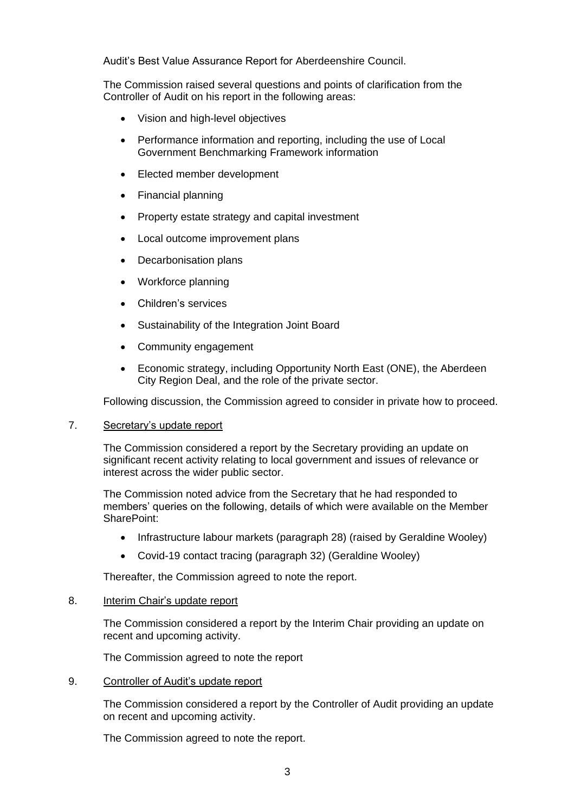Audit's Best Value Assurance Report for Aberdeenshire Council.

The Commission raised several questions and points of clarification from the Controller of Audit on his report in the following areas:

- Vision and high-level objectives
- Performance information and reporting, including the use of Local Government Benchmarking Framework information
- Elected member development
- Financial planning
- Property estate strategy and capital investment
- Local outcome improvement plans
- Decarbonisation plans
- Workforce planning
- Children's services
- Sustainability of the Integration Joint Board
- Community engagement
- Economic strategy, including Opportunity North East (ONE), the Aberdeen City Region Deal, and the role of the private sector.

Following discussion, the Commission agreed to consider in private how to proceed.

### 7. Secretary's update report

The Commission considered a report by the Secretary providing an update on significant recent activity relating to local government and issues of relevance or interest across the wider public sector.

The Commission noted advice from the Secretary that he had responded to members' queries on the following, details of which were available on the Member SharePoint:

- Infrastructure labour markets (paragraph 28) (raised by Geraldine Wooley)
- Covid-19 contact tracing (paragraph 32) (Geraldine Wooley)

Thereafter, the Commission agreed to note the report.

# 8. Interim Chair's update report

The Commission considered a report by the Interim Chair providing an update on recent and upcoming activity.

The Commission agreed to note the report

# 9. Controller of Audit's update report

The Commission considered a report by the Controller of Audit providing an update on recent and upcoming activity.

The Commission agreed to note the report.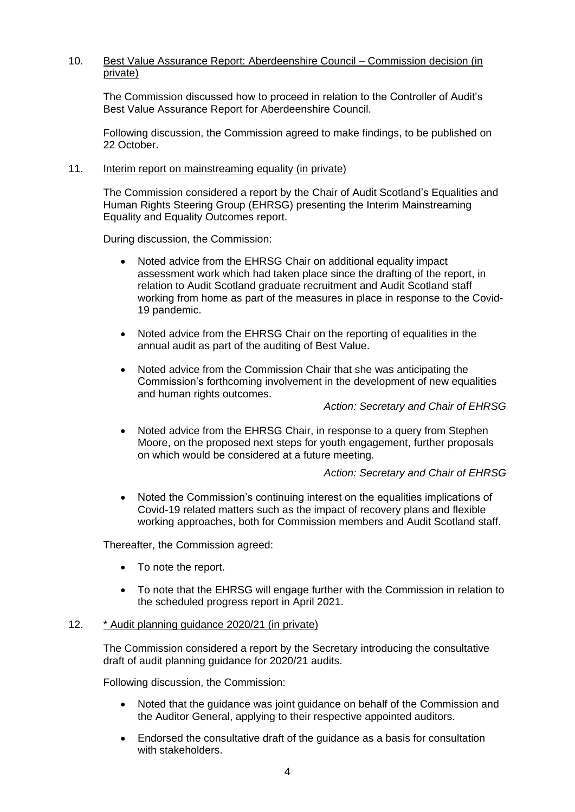# 10. Best Value Assurance Report: Aberdeenshire Council – Commission decision (in private)

The Commission discussed how to proceed in relation to the Controller of Audit's Best Value Assurance Report for Aberdeenshire Council.

Following discussion, the Commission agreed to make findings, to be published on 22 October.

### 11. Interim report on mainstreaming equality (in private)

The Commission considered a report by the Chair of Audit Scotland's Equalities and Human Rights Steering Group (EHRSG) presenting the Interim Mainstreaming Equality and Equality Outcomes report.

During discussion, the Commission:

- Noted advice from the EHRSG Chair on additional equality impact assessment work which had taken place since the drafting of the report, in relation to Audit Scotland graduate recruitment and Audit Scotland staff working from home as part of the measures in place in response to the Covid-19 pandemic.
- Noted advice from the EHRSG Chair on the reporting of equalities in the annual audit as part of the auditing of Best Value.
- Noted advice from the Commission Chair that she was anticipating the Commission's forthcoming involvement in the development of new equalities and human rights outcomes.

*Action: Secretary and Chair of EHRSG*

• Noted advice from the EHRSG Chair, in response to a query from Stephen Moore, on the proposed next steps for youth engagement, further proposals on which would be considered at a future meeting.

# *Action: Secretary and Chair of EHRSG*

• Noted the Commission's continuing interest on the equalities implications of Covid-19 related matters such as the impact of recovery plans and flexible working approaches, both for Commission members and Audit Scotland staff.

Thereafter, the Commission agreed:

- To note the report.
- To note that the EHRSG will engage further with the Commission in relation to the scheduled progress report in April 2021.

### 12. \* Audit planning guidance 2020/21 (in private)

The Commission considered a report by the Secretary introducing the consultative draft of audit planning guidance for 2020/21 audits.

Following discussion, the Commission:

- Noted that the guidance was joint guidance on behalf of the Commission and the Auditor General, applying to their respective appointed auditors.
- Endorsed the consultative draft of the guidance as a basis for consultation with stakeholders.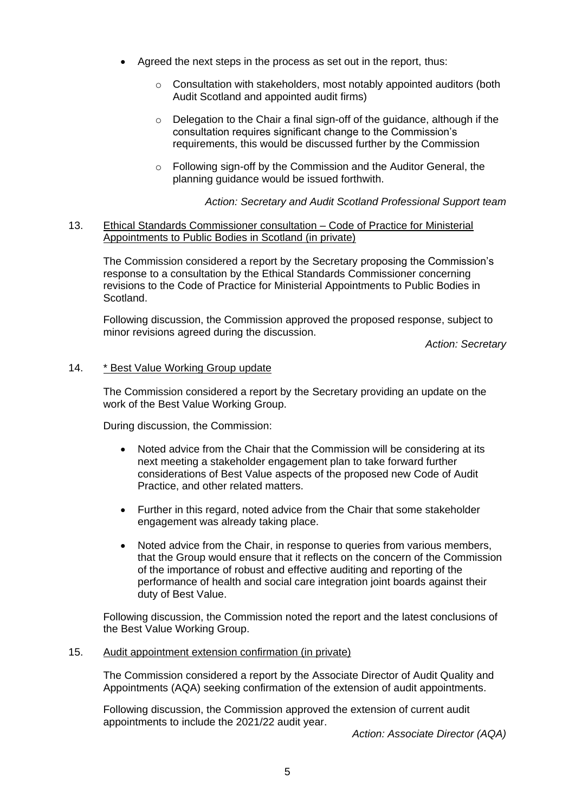- Agreed the next steps in the process as set out in the report, thus:
	- o Consultation with stakeholders, most notably appointed auditors (both Audit Scotland and appointed audit firms)
	- o Delegation to the Chair a final sign-off of the guidance, although if the consultation requires significant change to the Commission's requirements, this would be discussed further by the Commission
	- o Following sign-off by the Commission and the Auditor General, the planning guidance would be issued forthwith.

## *Action: Secretary and Audit Scotland Professional Support team*

### 13. Ethical Standards Commissioner consultation – Code of Practice for Ministerial Appointments to Public Bodies in Scotland (in private)

The Commission considered a report by the Secretary proposing the Commission's response to a consultation by the Ethical Standards Commissioner concerning revisions to the Code of Practice for Ministerial Appointments to Public Bodies in Scotland.

Following discussion, the Commission approved the proposed response, subject to minor revisions agreed during the discussion.

*Action: Secretary*

## 14. \* Best Value Working Group update

The Commission considered a report by the Secretary providing an update on the work of the Best Value Working Group.

During discussion, the Commission:

- Noted advice from the Chair that the Commission will be considering at its next meeting a stakeholder engagement plan to take forward further considerations of Best Value aspects of the proposed new Code of Audit Practice, and other related matters.
- Further in this regard, noted advice from the Chair that some stakeholder engagement was already taking place.
- Noted advice from the Chair, in response to queries from various members, that the Group would ensure that it reflects on the concern of the Commission of the importance of robust and effective auditing and reporting of the performance of health and social care integration joint boards against their duty of Best Value.

Following discussion, the Commission noted the report and the latest conclusions of the Best Value Working Group.

### 15. Audit appointment extension confirmation (in private)

The Commission considered a report by the Associate Director of Audit Quality and Appointments (AQA) seeking confirmation of the extension of audit appointments.

Following discussion, the Commission approved the extension of current audit appointments to include the 2021/22 audit year.

*Action: Associate Director (AQA)*